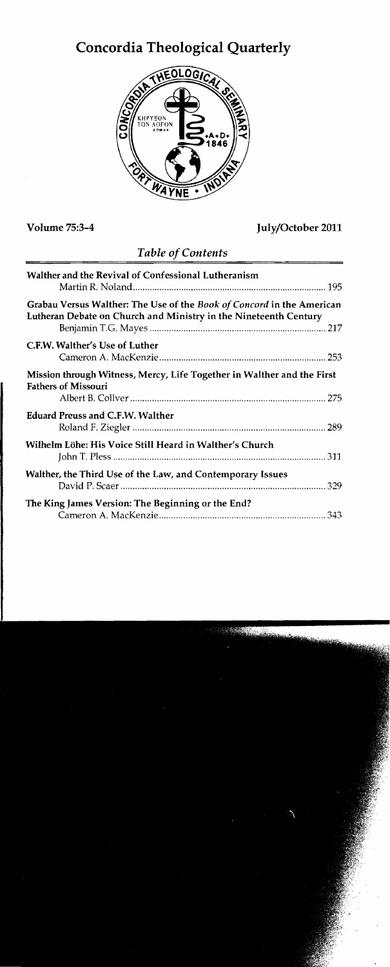# **Concordia Theological Quarterly**



## Volume 75:3-4 July/October 2011

|  |  | Table of Contents |
|--|--|-------------------|
|--|--|-------------------|

| Walther and the Revival of Confessional Lutheranism                                                                                       |
|-------------------------------------------------------------------------------------------------------------------------------------------|
| Grabau Versus Walther: The Use of the Book of Concord in the American<br>Lutheran Debate on Church and Ministry in the Nineteenth Century |
| C.F.W. Walther's Use of Luther                                                                                                            |
| Mission through Witness, Mercy, Life Together in Walther and the First<br><b>Fathers of Missouri</b>                                      |
| <b>Eduard Preuss and C.F.W. Walther</b>                                                                                                   |
| Wilhelm Löhe: His Voice Still Heard in Walther's Church                                                                                   |
| Walther, the Third Use of the Law, and Contemporary Issues                                                                                |
| The King James Version: The Beginning or the End?                                                                                         |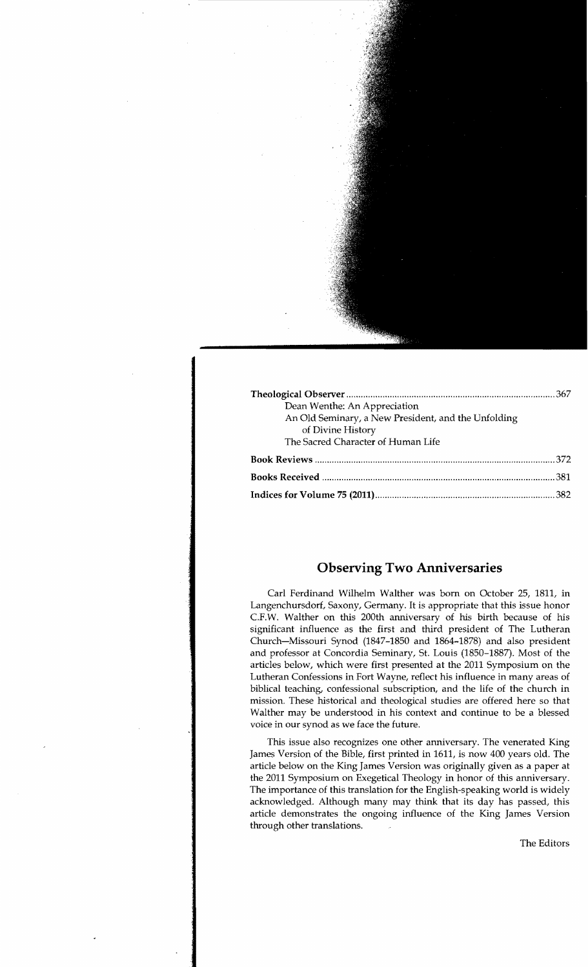| Dean Wenthe: An Appreciation                        |  |
|-----------------------------------------------------|--|
| An Old Seminary, a New President, and the Unfolding |  |
| of Divine History                                   |  |
| The Sacred Character of Human Life                  |  |
|                                                     |  |
|                                                     |  |
|                                                     |  |

## **Observing Two Anniversaries**

Carl Ferdinand Wilhelm Walther was born on October 25, 1811, in Langenchursdorf, Saxony, Germany. It is appropriate that this issue honor C.F.W. Walther on this 200th anniversary of his birth because of his significant influence as the first and third president of The Lutheran Church-Missouri Synod (1847-1850 and 1864-1878) and also president and professor at Concordia Seminary, St. Louis (1850-1887). Most of the articles below, which were first presented at the 2011 Symposium on the Lutheran Confessions in Fort Wayne, reflect his influence in many areas of biblical teaching, confessional subscription, and the life of the church in mission. These historical and theological studies are offered here so that Walther may be understood in his context and continue to be a blessed voice in our synod as we face the future.

This issue also recognizes one other anniversary. The venerated King James Version of the Bible, first printed in 1611, is now 400 years old. The article below on the King James Version was originally given as a paper at the 2011 Symposium on Exegetical Theology in honor of this anniversary. The importance of this translation for the English-speaking world is widely acknowledged. Although many may think that its day has passed, this article demonstrates the ongoing influence of the King James Version through other translations.

The Editors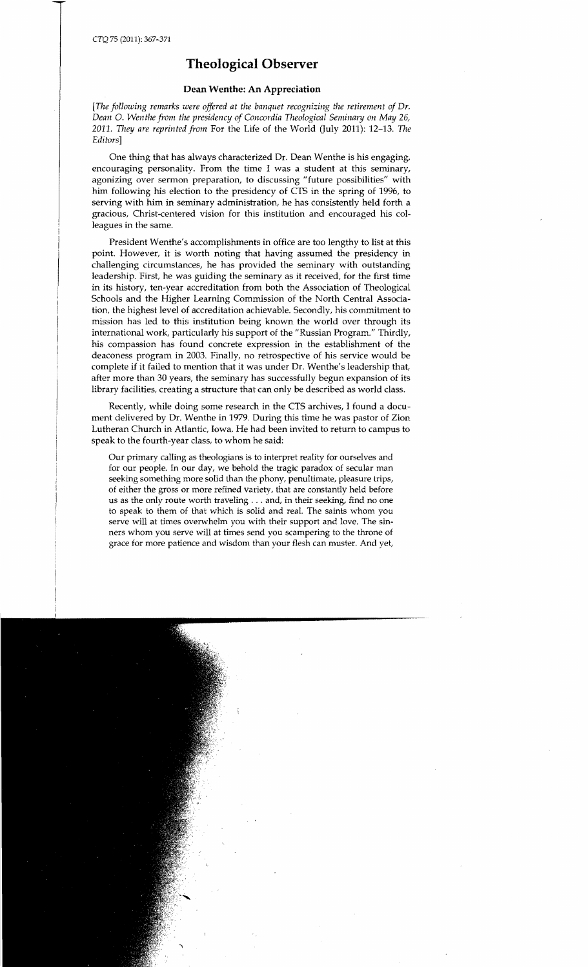## **Theological Observer**

### **Dean Wenthe: An Appreciation**

*[The following remarks were offered at the banquet recognizing the retirement of Dr. Dean* O. *Wen the from the presidency of Concordia Theological Seminary on May 26, 2011.* They *are reprinted from* For the Life of the World (July 2011): 12-13. The *Editors]* 

One thing that has always characterized Dr. Dean Wenthe is his engaging, encouraging personality. From the time I was a student at this seminary, agonizing over sermon preparation, to discussing "future possibilities" with him following his election to the presidency of CTS in the spring of 1996, to serving with him in seminary administration, he has consistently held forth a gracious, Christ-centered vision for this institution and encouraged his colleagues in the same.

President Wenthe's accomplishments in office are too lengthy to list at this point. However, it is worth noting that having assumed the presidency in challenging circumstances, he has provided the seminary with outstanding leadership. First, he was guiding the seminary as it received, for the first time in its history, ten-year accreditation from both the Association of Theological Schools and the Higher Learning Commission of the North Central Association, the highest level of accreditation achievable. Secondly, his commitment to mission has led to this institution being known the world over through its international work, particularly his support of the "Russian Program." Thirdly, his compassion has found concrete expression in the establishment of the deaconess program in 2003. Finally, no retrospective of his service would be complete if it failed to mention that it was under Dr. Wenthe's leadership that, after more than 30 years, the seminary has successfully begun expansion of its library facilities, creating a structure that can only be described as world class.

Recently, while doing some research in the CTS archives, I found a document delivered by Dr. Wenthe in 1979. During this time he was pastor of Zion Lutheran Church in Atlantic, Iowa. He had been invited to return to campus to speak to the fourth-year class, to whom he said:

Our primary calling as theologians is to interpret reality for ourselves and for our people. In our day, we behold the tragic paradox of secular man seeking something more solid than the phony, penultimate, pleasure trips, of either the gross or more refined variety, that are constantly held before us as the only route worth traveling ... and, in their seeking, find no one to speak to them of that which is solid and real. The saints whom you serve will at times overwhelm you with their support and love. The sinners whom you serve will at times send you scampering to the throne of grace for more patience and wisdom than your flesh can muster. And yet,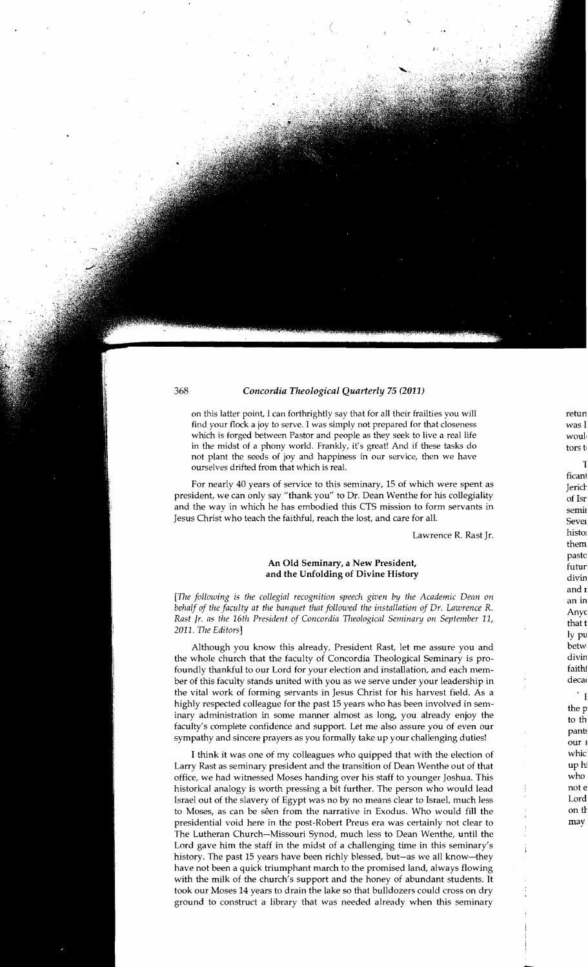on this latter point, I can forthrightly say that for all their frailties you will find your flock a joy to serve. I was simply not prepared for that closeness which is forged between Pastor and people as they seek to live a real life in the midst of a phony world. Frankly, it's great! And if these tasks do not plant the seeds of joy and happiness in our service, then we have ourselves drifted from that which is real.

For nearly 40 years of service to this seminary, 15 of which were spent as president, we can only say "thank you" to Dr. Dean Wenthe for his collegiality and the way in which he has embodied this CTS mission to form servants in Jesus Christ who teach the faithful, reach the lost, and care for all.

Lawrence R. Rast Jr.

### An Old Seminary, a New President, and the Unfolding of Divine History

*[The following is the collegial recognition speech given by the Academic Dean on behalf of the faculty at the banquet that followed the installation of Dr. Lawrence* R. Rast Jr. as the 16th President of Concordia Theological Seminary on September 11, *2011.* The *Editors]* 

Although you know this already, President Rast, let me assure you and the whole church that the faculty of Concordia Theological Seminary is profoundly thankful to our Lord for your election and installation, and each member of this faculty stands united with you as we serve under your leadership in the vital work of forming servants in Jesus Christ for his harvest field. As a highly respected colleague for the past 15 years who has been involved in seminary administration in some manner almost as long, you already enjoy the faculty's complete confidence and support. Let me also assure you of even our sympathy and sincere prayers as you formally take up your challenging duties!

I think it was one of my colleagues who quipped that with the election of Larry Rast as seminary president and the transition of Dean Wenthe out of that office, we had witnessed Moses handing over his staff to younger Joshua. This historical analogy is worth pressing a bit further. The person who would lead Israel out of the slavery of Egypt was no by no means clear to Israel, much less to Moses, as can be seen from the narrative in Exodus. Who would fill the presidential void here in the post-Robert Preus era was certainly not clear to The Lutheran Church-Missouri Synod, much less to Dean Wenthe, until the Lord gave him the staff in the midst of a challenging time in this seminary's history. The past 15 years have been richly blessed, but-as we all know-they have not been a quick triumphant march to the promised land, always flowing with the milk of the church's support and the honey of abundant students. It took our Moses 14 years to drain the lake so that bulldozers could cross on dry ground to construct a library that was needed already when this seminary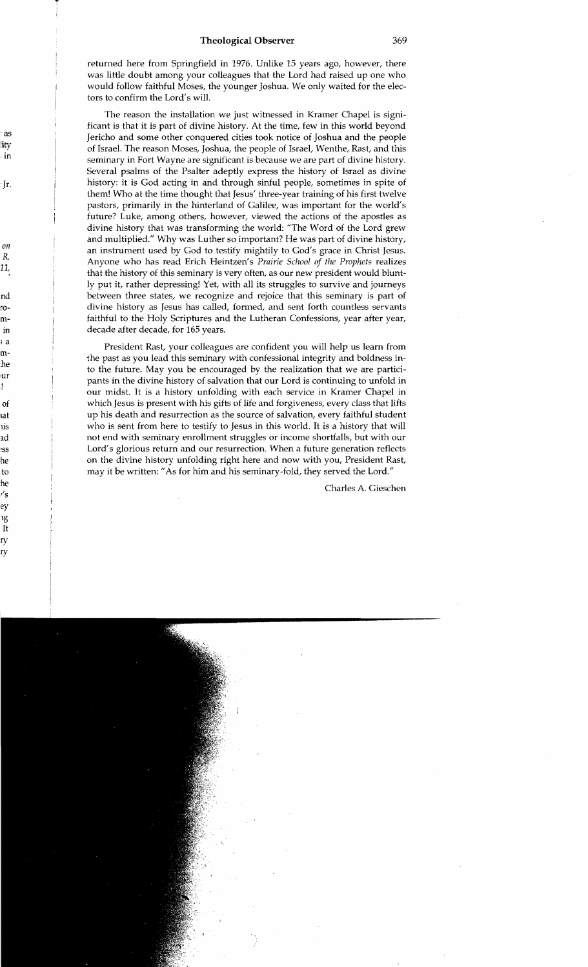returned here from Springfield in 1976. Unlike 15 years ago, however, there was little doubt among your colleagues that the Lord had raised up one who would follow faithful Moses, the younger Joshua. We only waited for the electors to confirm the Lord's will.

The reason the installation we just witnessed in Kramer Chapel is significant is that it is part of divine history. At the time, few in this world beyond Jericho and some other conquered cities took notice of Joshua and the people of Israel. The reason Moses, Joshua, the people of Israel, Wenthe, Rast, and this seminary in Fort Wayne are significant is because we are part of divine history. Several psalms of the Psalter adeptly express the history of Israel as divine history: it is God acting in and through sinful people, sometimes in spite of them! Who at the time thought that Jesus' three-year training of his first twelve pastors, primarily in the hinterland of Galilee, was important for the world's future? Luke, among others, however, viewed the actions of the apostles as divine history that was transforming the world: "The Word of the Lord grew and multiplied." Why was Luther so important? He was part of divine history, an instrument used by God to testify mightily to God's grace in Christ Jesus. Anyone who has read Erich Heintzen's *Prairie School of the Prophets* realizes that the history of this seminary is very often, as our new president would bluntly put it, rather depressing! Yet, with all its struggles to survive and journeys between three states, we recognize and rejoice that this seminary is part of divine history as Jesus has called, formed, and sent forth countless servants faithful to the Holy Scriptures and the Lutheran Confessions, year after year, decade after decade, for 165 years.

President Rast, your colleagues are confident you will help us learn from the past as you lead this seminary with confessional integrity and boldness into the future. May you be encouraged by the realization that we are participants in the divine history of salvation that our Lord is continuing to unfold in our midst. It is a history unfolding with each service in Kramer Chapel in which Jesus is present with his gifts of life and forgiveness, every class that lifts up his death and resurrection as the source of salvation, every faithful student who is sent from here to testify to Jesus in this world. It is a history that will not end with seminary enrollment struggles or income shortfalls, but with our Lord's glorious return and our resurrection. When a future generation reflects on the divine history unfolding right here and now with you, President Rast, may it be written: "As for him and his seminary-fold, they served the Lord."

Charles A. Gieschen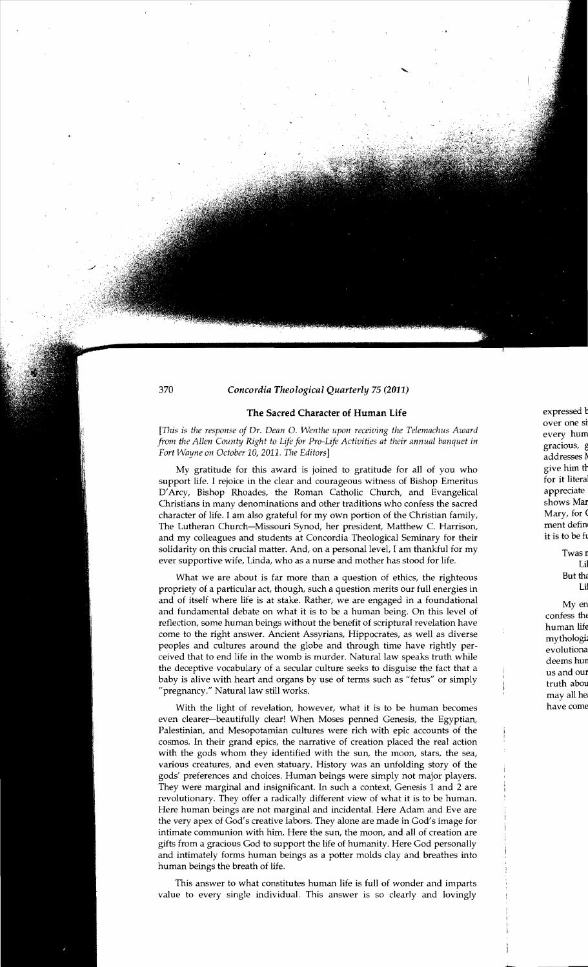#### The Sacred Character of Human Life

*[This* is *the response of Dr. Dean* O. *Wenthe upon receiving the Telemachus Award* every hum *from the Allen County Right to Life for Pro-Life Activities at their annual banquet in* gracious, <sup>g</sup> *Fort Wayne on October* 10, *2011. The Editors]* addresses 11

My gratitude for this award is joined to gratitude for all of you who support life. I rejoice in the clear and courageous witness of Bishop Emeritus D'Arcy, Bishop Rhoades, the Roman Catholic Church, and Evangelical Christians in many denominations and other traditions who confess the sacred character of life. I am also grateful for my own portion of the Christian family, The Lutheran Church-Missouri Synod, her president, Matthew C. Harrison, and my colleagues and students at Concordia Theological Seminary for their solidarity on this crucial matter. And, on a personal level, I am thankful for my ever supportive wife, Linda, who as a nurse and mother has stood for life.

What we are about is far more than a question of ethics, the righteous propriety of a particular act, though, such a question merits our full energies in Lil and of itself where life is at stake. Rather, we are engaged in a foundational  $\frac{1}{2}$ and fundamental debate on what it is to be a human being. On this level of reflection, some human beings without the benefit of scriptural revelation have come to the right answer. Ancient Assyrians, Hippocrates, as well as diverse come to the right answer. Ancient Assyrians, Hippocrates, as well as diverse peoples and cultures around the globe and through time have rightly perceived that to end life in the womb is murder. Natural law speaks truth while deems hUll the deceptive vocabulary of a secular culture seeks to disguise the fact that a baby is alive with heart and organs by use of terms such as "fetus" or simply "pregnancy." Natural law still works.

With the light of revelation, however, what it is to be human becomes even clearer-beautifully clear! When Moses penned Genesis, the Egyptian, Palestinian, and Mesopotamian cultures were rich with epic accounts of the cosmos. In their grand epics, the narrative of creation placed the real action with the gods whom they identified with the sun, the moon, stars, the sea, various creatures, and even statuary. History was an unfolding story of the gods' preferences and choices. Human beings were simply not major players. They were marginal and insignificant. In such a context, Genesis 1 and 2 are revolutionary. They offer a radically different view of what it is to be human. Here human beings are not marginal and incidental. Here Adam and Eve are the very apex of God's creative labors. They alone are made in God's image for intimate communion with him. Here the sun, the moon, and all of creation are gifts from a gracious God to support the life of humanity. Here God personally and intimately forms human beings as a potter molds clay and breathes into human beings the breath of life.

This answer to what constitutes human life is full of wonder and imparts value to every single individual. This answer is so clearly and lovingly